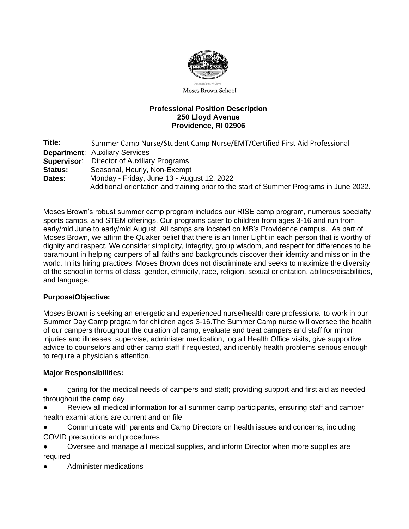

Moses Brown School

#### **Professional Position Description 250 Lloyd Avenue Providence, RI 02906**

**Title**: Summer Camp Nurse/Student Camp Nurse/EMT/Certified First Aid Professional **Department**: Auxiliary Services **Supervisor**: Director of Auxiliary Programs **Status:** Seasonal, Hourly, Non-Exempt **Dates:** Monday - Friday, June 13 - August 12, 2022 Additional orientation and training prior to the start of Summer Programs in June 2022.

Moses Brown's robust summer camp program includes our RISE camp program, numerous specialty sports camps, and STEM offerings. Our programs cater to children from ages 3-16 and run from early/mid June to early/mid August. All camps are located on MB's Providence campus. As part of Moses Brown, we affirm the Quaker belief that there is an Inner Light in each person that is worthy of dignity and respect. We consider simplicity, integrity, group wisdom, and respect for differences to be paramount in helping campers of all faiths and backgrounds discover their identity and mission in the world. In its hiring practices, Moses Brown does not discriminate and seeks to maximize the diversity of the school in terms of class, gender, ethnicity, race, religion, sexual orientation, abilities/disabilities, and language.

# **Purpose/Objective:**

Moses Brown is seeking an energetic and experienced nurse/health care professional to work in our Summer Day Camp program for children ages 3-16.The Summer Camp nurse will oversee the health of our campers throughout the duration of camp, evaluate and treat campers and staff for minor injuries and illnesses, supervise, administer medication, log all Health Office visits, give supportive advice to counselors and other camp staff if requested, and identify health problems serious enough to require a physician's attention.

# **Major Responsibilities:**

Caring for the medical needs of campers and staff; providing support and first aid as needed throughout the camp day

Review all medical information for all summer camp participants, ensuring staff and camper health examinations are current and on file

Communicate with parents and Camp Directors on health issues and concerns, including COVID precautions and procedures

Oversee and manage all medical supplies, and inform Director when more supplies are required

Administer medications